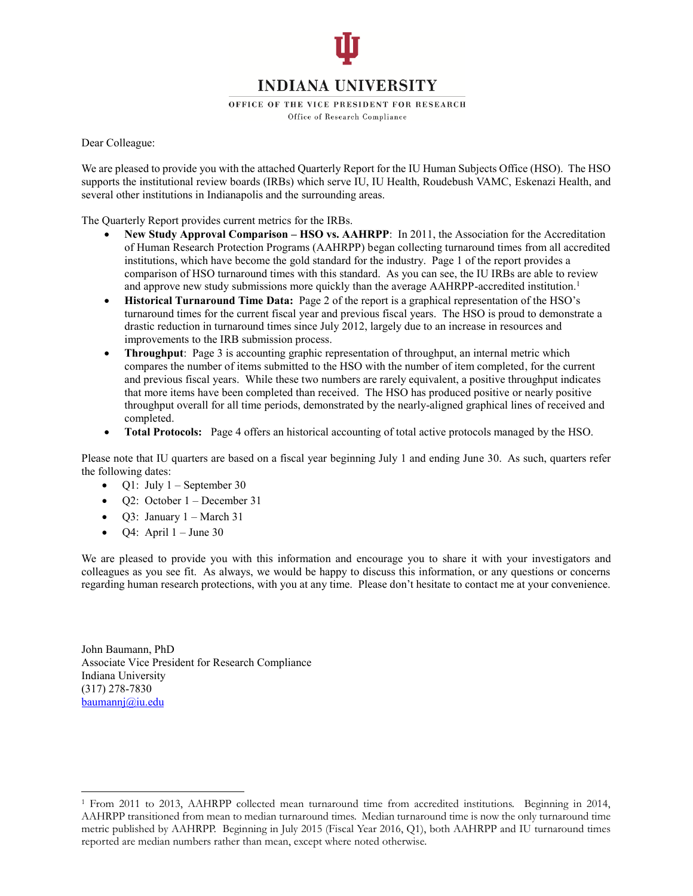

OFFICE OF THE VICE PRESIDENT FOR RESEARCH

Office of Research Compliance

Dear Colleague:

We are pleased to provide you with the attached Quarterly Report for the IU Human Subjects Office (HSO). The HSO supports the institutional review boards (IRBs) which serve IU, IU Health, Roudebush VAMC, Eskenazi Health, and several other institutions in Indianapolis and the surrounding areas.

The Quarterly Report provides current metrics for the IRBs.

- New Study Approval Comparison HSO vs. AAHRPP: In 2011, the Association for the Accreditation of Human Research Protection Programs (AAHRPP) began collecting turnaround times from all accredited institutions, which have become the gold standard for the industry. Page 1 of the report provides a comparison of HSO turnaround times with this standard. As you can see, the IU IRBs are able to review and approve new study submissions more quickly than the average AAHRPP-accredited institution.<sup>1</sup>
- **Historical Turnaround Time Data:** Page 2 of the report is a graphical representation of the HSO's turnaround times for the current fiscal year and previous fiscal years. The HSO is proud to demonstrate a drastic reduction in turnaround times since July 2012, largely due to an increase in resources and improvements to the IRB submission process.
- **Throughput**: Page 3 is accounting graphic representation of throughput, an internal metric which compares the number of items submitted to the HSO with the number of item completed, for the current and previous fiscal years. While these two numbers are rarely equivalent, a positive throughput indicates that more items have been completed than received. The HSO has produced positive or nearly positive throughput overall for all time periods, demonstrated by the nearly-aligned graphical lines of received and completed.
- **Total Protocols:** Page 4 offers an historical accounting of total active protocols managed by the HSO.

Please note that IU quarters are based on a fiscal year beginning July 1 and ending June 30. As such, quarters refer the following dates:

- $\bullet$  Q1: July 1 September 30
- Q2: October 1 December 31
- Q3: January 1 March 31
- Q4: April  $1 -$  June 30

We are pleased to provide you with this information and encourage you to share it with your investigators and colleagues as you see fit. As always, we would be happy to discuss this information, or any questions or concerns regarding human research protections, with you at any time. Please don't hesitate to contact me at your convenience.

John Baumann, PhD Associate Vice President for Research Compliance Indiana University (317) 278-7830 [baumannj@iu.edu](mailto:baumannj@iu.edu) 

<sup>1</sup> From 2011 to 2013, AAHRPP collected mean turnaround time from accredited institutions. Beginning in 2014, AAHRPP transitioned from mean to median turnaround times. Median turnaround time is now the only turnaround time metric published by AAHRPP. Beginning in July 2015 (Fiscal Year 2016, Q1), both AAHRPP and IU turnaround times reported are median numbers rather than mean, except where noted otherwise.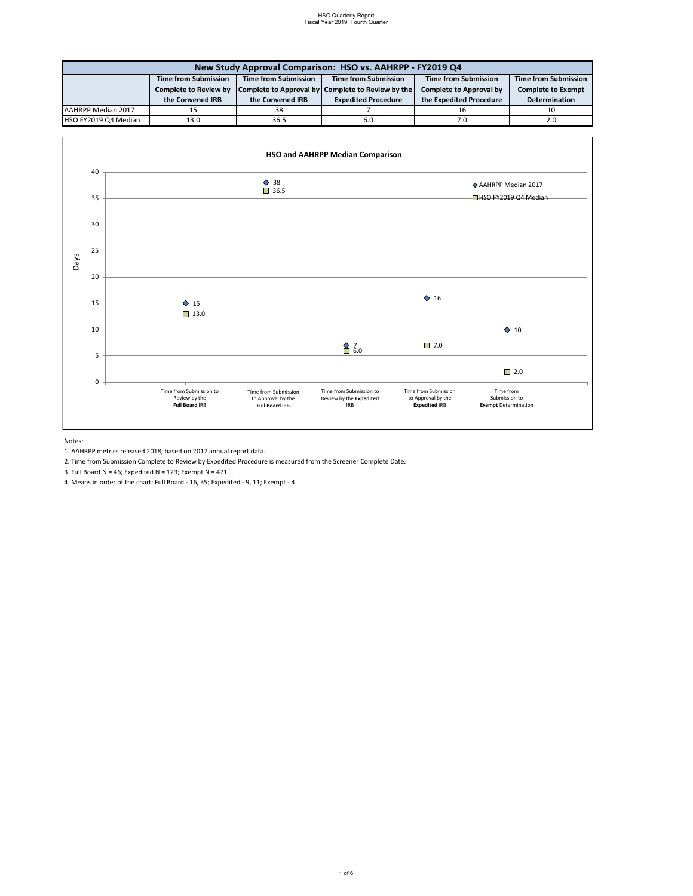| New Study Approval Comparison: HSO vs. AAHRPP - FY2019 Q4 |                              |                             |                                                   |                                |                             |  |  |
|-----------------------------------------------------------|------------------------------|-----------------------------|---------------------------------------------------|--------------------------------|-----------------------------|--|--|
|                                                           | <b>Time from Submission</b>  | <b>Time from Submission</b> | <b>Time from Submission</b>                       | Time from Submission           | <b>Time from Submission</b> |  |  |
|                                                           | <b>Complete to Review by</b> |                             | Complete to Approval by Complete to Review by the | <b>Complete to Approval by</b> | <b>Complete to Exempt</b>   |  |  |
|                                                           | the Convened IRB             | the Convened IRB            | <b>Expedited Procedure</b>                        | the Expedited Procedure        | Determination               |  |  |
| AAHRPP Median 2017                                        | 15                           | 38                          |                                                   | 16                             |                             |  |  |
| HSO FY2019 Q4 Median                                      | 13.0                         | 36.5                        | 6.0                                               | 7.0                            | 2.0                         |  |  |

Notes:

1. AAHRPP metrics released 2018, based on 2017 annual report data.

2. Time from Submission Complete to Review by Expedited Procedure is measured from the Screener Complete Date.

3. Full Board N = 46; Expedited N = 123; Exempt N = 471

4. Means in order of the chart: Full Board - 16, 35; Expedited - 9, 11; Exempt - 4

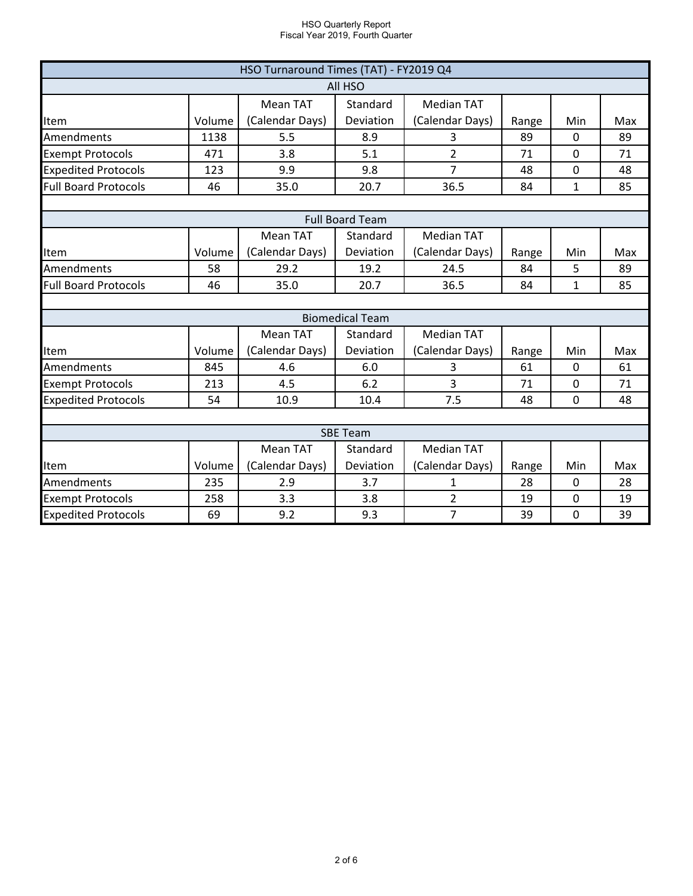| HSO Turnaround Times (TAT) - FY2019 Q4                                             |        |                 |                        |                   |       |              |     |  |
|------------------------------------------------------------------------------------|--------|-----------------|------------------------|-------------------|-------|--------------|-----|--|
| All HSO                                                                            |        |                 |                        |                   |       |              |     |  |
|                                                                                    |        | <b>Mean TAT</b> | Standard               | <b>Median TAT</b> |       |              |     |  |
| <b>Item</b>                                                                        | Volume | (Calendar Days) | Deviation              | (Calendar Days)   | Range | Min          | Max |  |
| Amendments                                                                         | 1138   | 5.5             | 8.9                    | 3                 | 89    | $\Omega$     | 89  |  |
| <b>Exempt Protocols</b>                                                            | 471    | 3.8             | 5.1                    | $\overline{2}$    | 71    | 0            | 71  |  |
| <b>Expedited Protocols</b>                                                         | 123    | 9.9             | 9.8                    | $\overline{7}$    | 48    | 0            | 48  |  |
| <b>Full Board Protocols</b>                                                        | 46     | 35.0            | 20.7                   | 36.5              | 84    | $\mathbf{1}$ | 85  |  |
|                                                                                    |        |                 |                        |                   |       |              |     |  |
|                                                                                    |        |                 | <b>Full Board Team</b> |                   |       |              |     |  |
|                                                                                    |        | <b>Mean TAT</b> | Standard               | <b>Median TAT</b> |       |              |     |  |
| Item                                                                               | Volume | (Calendar Days) | Deviation              | (Calendar Days)   | Range | Min          | Max |  |
| Amendments                                                                         | 58     | 29.2            | 19.2                   | 24.5              | 84    | 5            | 89  |  |
| <b>Full Board Protocols</b><br>46                                                  |        | 35.0            | 20.7                   | 36.5              | 84    | $\mathbf{1}$ | 85  |  |
|                                                                                    |        |                 |                        |                   |       |              |     |  |
|                                                                                    |        |                 | <b>Biomedical Team</b> |                   |       |              |     |  |
| <b>Mean TAT</b><br><b>Median TAT</b><br>Standard                                   |        |                 |                        |                   |       |              |     |  |
| Item                                                                               | Volume | (Calendar Days) | Deviation              | (Calendar Days)   | Range | Min          | Max |  |
| Amendments                                                                         | 845    | 4.6             | 6.0                    | 3                 | 61    | 0            | 61  |  |
| <b>Exempt Protocols</b>                                                            | 213    | 4.5             | 6.2                    | 3                 | 71    | 0            | 71  |  |
| <b>Expedited Protocols</b>                                                         | 54     | 10.9            | 10.4                   | 7.5<br>48         |       | $\Omega$     | 48  |  |
|                                                                                    |        |                 |                        |                   |       |              |     |  |
| <b>SBE Team</b>                                                                    |        |                 |                        |                   |       |              |     |  |
|                                                                                    |        | <b>Mean TAT</b> | Standard               | <b>Median TAT</b> |       |              |     |  |
| Item                                                                               | Volume | (Calendar Days) | Deviation              | (Calendar Days)   | Range | Min          | Max |  |
| Amendments                                                                         | 235    | 2.9             | 3.7                    | 1                 | 28    | $\mathbf 0$  | 28  |  |
| <b>Exempt Protocols</b>                                                            | 258    | 3.3             | 3.8                    | $\overline{2}$    | 19    | 0            | 19  |  |
| <b>Expedited Protocols</b><br>69<br>9.2<br>$\overline{7}$<br>9.3<br>39<br>$\Omega$ |        |                 |                        |                   |       | 39           |     |  |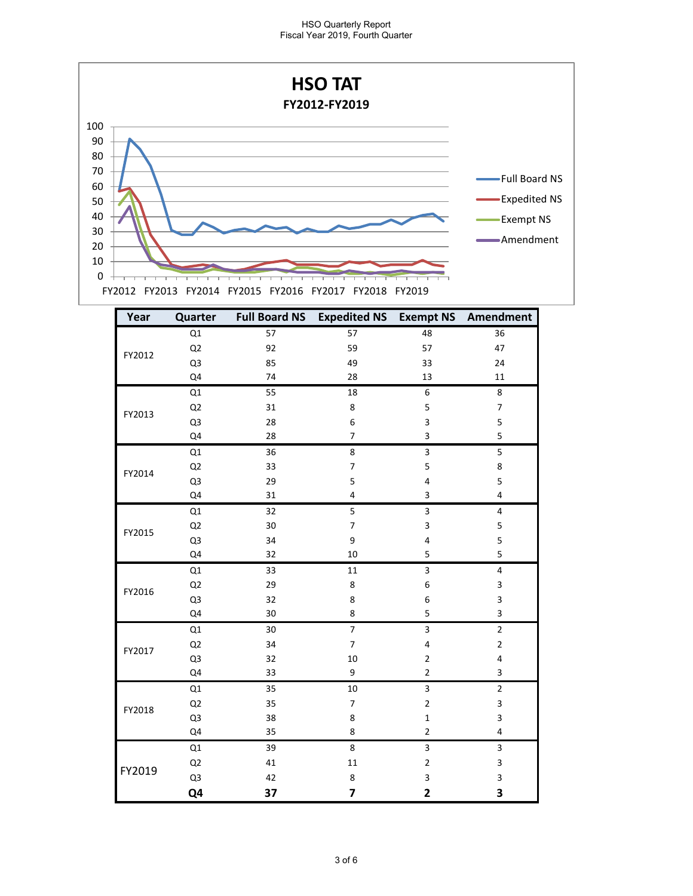

| Year   | Quarter        |    | Full Board NS Expedited NS Exempt NS Amendment |                         |                           |
|--------|----------------|----|------------------------------------------------|-------------------------|---------------------------|
| FY2012 | Q1             | 57 | 57                                             | 48                      | 36                        |
|        | Q <sub>2</sub> | 92 | 59                                             | 57                      | 47                        |
|        | Q3             | 85 | 49                                             | 33                      | 24                        |
|        | Q4             | 74 | 28                                             | 13                      | 11                        |
|        | Q1             | 55 | 18                                             | 6                       | 8                         |
| FY2013 | Q <sub>2</sub> | 31 | 8                                              | 5                       | $\overline{7}$            |
|        | Q3             | 28 | 6                                              | 3                       | 5                         |
|        | Q4             | 28 | $\overline{7}$                                 | 3                       | 5                         |
|        | Q1             | 36 | 8                                              | 3                       | 5                         |
|        | Q <sub>2</sub> | 33 | $\overline{\mathcal{I}}$                       | 5                       | 8                         |
| FY2014 | Q3             | 29 | 5                                              | 4                       | 5                         |
|        | Q4             | 31 | 4                                              | 3                       | 4                         |
|        | Q1             | 32 | $\overline{\mathbf{5}}$                        | $\overline{3}$          | $\pmb{4}$                 |
|        | Q <sub>2</sub> | 30 | 7                                              | 3                       | 5                         |
| FY2015 | Q3             | 34 | 9                                              | 4                       | 5                         |
|        | Q4             | 32 | 10                                             | 5                       | 5                         |
|        | Q1             | 33 | 11                                             | 3                       | $\pmb{4}$                 |
| FY2016 | Q <sub>2</sub> | 29 | 8                                              | 6                       | $\ensuremath{\mathsf{3}}$ |
|        | Q3             | 32 | 8                                              | 6                       | 3                         |
|        | Q4             | 30 | 8                                              | 5                       | 3                         |
|        | Q1             | 30 | $\overline{7}$                                 | 3                       | $\overline{2}$            |
| FY2017 | Q <sub>2</sub> | 34 | $\overline{7}$                                 | 4                       | $\mathbf 2$               |
|        | Q3             | 32 | 10                                             | $\overline{2}$          | 4                         |
|        | Q4             | 33 | 9                                              | $\overline{2}$          | 3                         |
|        | Q1             | 35 | 10                                             | 3                       | $\mathbf 2$               |
| FY2018 | Q <sub>2</sub> | 35 | $\overline{7}$                                 | $\overline{2}$          | $\mathsf 3$               |
|        | Q3             | 38 | 8                                              | $\mathbf 1$             | 3                         |
|        | Q4             | 35 | 8                                              | $\mathbf{2}$            | 4                         |
|        | Q1             | 39 | 8                                              | 3                       | 3                         |
|        | Q <sub>2</sub> | 41 | 11                                             | $\mathbf 2$             | 3                         |
| FY2019 | Q3             | 42 | 8                                              | 3                       | 3                         |
|        | Q4             | 37 | 7                                              | $\overline{\mathbf{2}}$ | 3                         |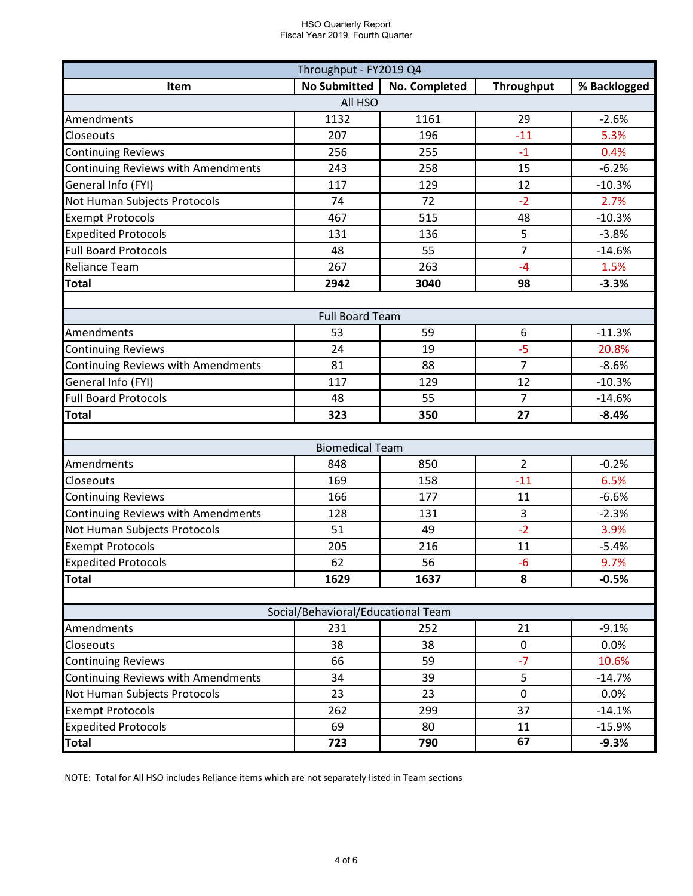| Throughput - FY2019 Q4             |                        |               |                   |              |  |  |  |  |
|------------------------------------|------------------------|---------------|-------------------|--------------|--|--|--|--|
| Item                               | <b>No Submitted</b>    | No. Completed | <b>Throughput</b> | % Backlogged |  |  |  |  |
| All HSO                            |                        |               |                   |              |  |  |  |  |
| Amendments                         | 1132                   | 1161          | 29                | $-2.6%$      |  |  |  |  |
| Closeouts                          | 207                    | 196           | $-11$             | 5.3%         |  |  |  |  |
| <b>Continuing Reviews</b>          | 256                    | 255           | $-1$              | 0.4%         |  |  |  |  |
| Continuing Reviews with Amendments | 243                    | 258           | 15                | $-6.2%$      |  |  |  |  |
| General Info (FYI)                 | 117                    | 129           | 12                | $-10.3%$     |  |  |  |  |
| Not Human Subjects Protocols       | 74                     | 72            | $-2$              | 2.7%         |  |  |  |  |
| <b>Exempt Protocols</b>            | 467                    | 515           | 48                | $-10.3%$     |  |  |  |  |
| <b>Expedited Protocols</b>         | 131                    | 136           | 5                 | $-3.8%$      |  |  |  |  |
| <b>Full Board Protocols</b>        | 48                     | 55            | $\overline{7}$    | $-14.6%$     |  |  |  |  |
| <b>Reliance Team</b>               | 267                    | 263           | $-4$              | 1.5%         |  |  |  |  |
| <b>Total</b>                       | 2942                   | 3040          | 98                | $-3.3%$      |  |  |  |  |
|                                    |                        |               |                   |              |  |  |  |  |
|                                    | <b>Full Board Team</b> |               |                   |              |  |  |  |  |
| Amendments                         | 53                     | 59            | 6                 | $-11.3%$     |  |  |  |  |
| <b>Continuing Reviews</b>          | 24                     | 19            | -5                | 20.8%        |  |  |  |  |
| Continuing Reviews with Amendments | 81                     | 88            | $\overline{7}$    | $-8.6%$      |  |  |  |  |
| General Info (FYI)                 | 117                    | 129           | 12                | $-10.3%$     |  |  |  |  |
| <b>Full Board Protocols</b>        | 48                     | 55            | 7                 | $-14.6%$     |  |  |  |  |
| <b>Total</b>                       | 323                    | 350           | 27                | $-8.4%$      |  |  |  |  |
|                                    |                        |               |                   |              |  |  |  |  |
|                                    | <b>Biomedical Team</b> |               |                   |              |  |  |  |  |
| Amendments                         | 848                    | 850           | $\overline{2}$    | $-0.2%$      |  |  |  |  |
| Closeouts                          | 169                    | 158           | $-11$             | 6.5%         |  |  |  |  |
| <b>Continuing Reviews</b>          | 166                    | 177           | 11                | $-6.6%$      |  |  |  |  |
| Continuing Reviews with Amendments | 128                    | 131           | 3                 | $-2.3%$      |  |  |  |  |
| Not Human Subjects Protocols       | 51                     | 49            | $-2$              | 3.9%         |  |  |  |  |
| <b>Exempt Protocols</b>            | 205                    | 216           | 11                | $-5.4%$      |  |  |  |  |
| <b>Expedited Protocols</b>         | 62                     | 56            | $-6$              | 9.7%         |  |  |  |  |
| <b>Total</b>                       | 1629                   | 1637          | 8                 | $-0.5%$      |  |  |  |  |
|                                    |                        |               |                   |              |  |  |  |  |
| Social/Behavioral/Educational Team |                        |               |                   |              |  |  |  |  |
| Amendments                         | 231                    | 252           | 21                | $-9.1%$      |  |  |  |  |
| Closeouts                          | 38                     | 38            | 0                 | 0.0%         |  |  |  |  |
| <b>Continuing Reviews</b>          | 66                     | 59            | $-7$              | 10.6%        |  |  |  |  |
| Continuing Reviews with Amendments | 34                     | 39            | 5                 | $-14.7%$     |  |  |  |  |
| Not Human Subjects Protocols       | 23                     | 23            | $\mathbf 0$       | 0.0%         |  |  |  |  |
| <b>Exempt Protocols</b>            | 262                    | 299           | 37                | $-14.1%$     |  |  |  |  |
| <b>Expedited Protocols</b>         | 69                     | 80            | 11                | $-15.9%$     |  |  |  |  |
| <b>Total</b>                       | 723                    | 790           | 67                | $-9.3%$      |  |  |  |  |

NOTE: Total for All HSO includes Reliance items which are not separately listed in Team sections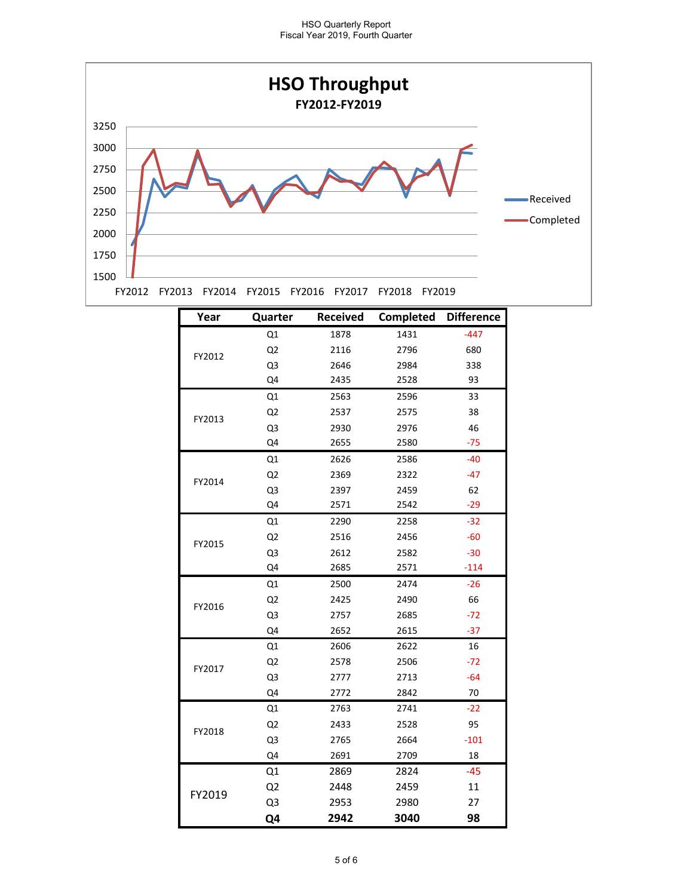

| Year   | Quarter        | Received | Completed Difference |        |
|--------|----------------|----------|----------------------|--------|
|        | Q1             | 1878     | 1431                 | $-447$ |
| FY2012 | Q <sub>2</sub> | 2116     | 2796                 | 680    |
|        | Q3             | 2646     | 2984                 | 338    |
|        | Q4             | 2435     | 2528                 | 93     |
|        | Q1             | 2563     | 2596                 | 33     |
| FY2013 | Q <sub>2</sub> | 2537     | 2575                 | 38     |
|        | Q3             | 2930     | 2976                 | 46     |
|        | Q4             | 2655     | 2580                 | $-75$  |
|        | Q1             | 2626     | 2586                 | $-40$  |
| FY2014 | Q <sub>2</sub> | 2369     | 2322                 | $-47$  |
|        | Q3             | 2397     | 2459                 | 62     |
|        | Q4             | 2571     | 2542                 | $-29$  |
|        | Q1             | 2290     | 2258                 | $-32$  |
|        | Q <sub>2</sub> | 2516     | 2456                 | $-60$  |
| FY2015 | Q3             | 2612     | 2582                 | $-30$  |
|        | Q4             | 2685     | 2571                 | $-114$ |
|        | Q1             | 2500     | 2474                 | $-26$  |
|        | Q <sub>2</sub> | 2425     | 2490                 | 66     |
| FY2016 | Q3             | 2757     | 2685                 | $-72$  |
|        | Q4             | 2652     | 2615                 | $-37$  |
|        | Q1             | 2606     | 2622                 | 16     |
| FY2017 | Q <sub>2</sub> | 2578     | 2506                 | -72    |
|        | Q3             | 2777     | 2713                 | $-64$  |
|        | Q4             | 2772     | 2842                 | 70     |
|        | Q1             | 2763     | 2741                 | $-22$  |
| FY2018 | Q <sub>2</sub> | 2433     | 2528                 | 95     |
|        | Q3             | 2765     | 2664                 | $-101$ |
|        | Q4             | 2691     | 2709                 | 18     |
|        | Q1             | 2869     | 2824                 | $-45$  |
|        | Q <sub>2</sub> | 2448     | 2459                 | 11     |
| FY2019 | Q <sub>3</sub> | 2953     | 2980                 | 27     |
|        | Q4             | 2942     | 3040                 | 98     |